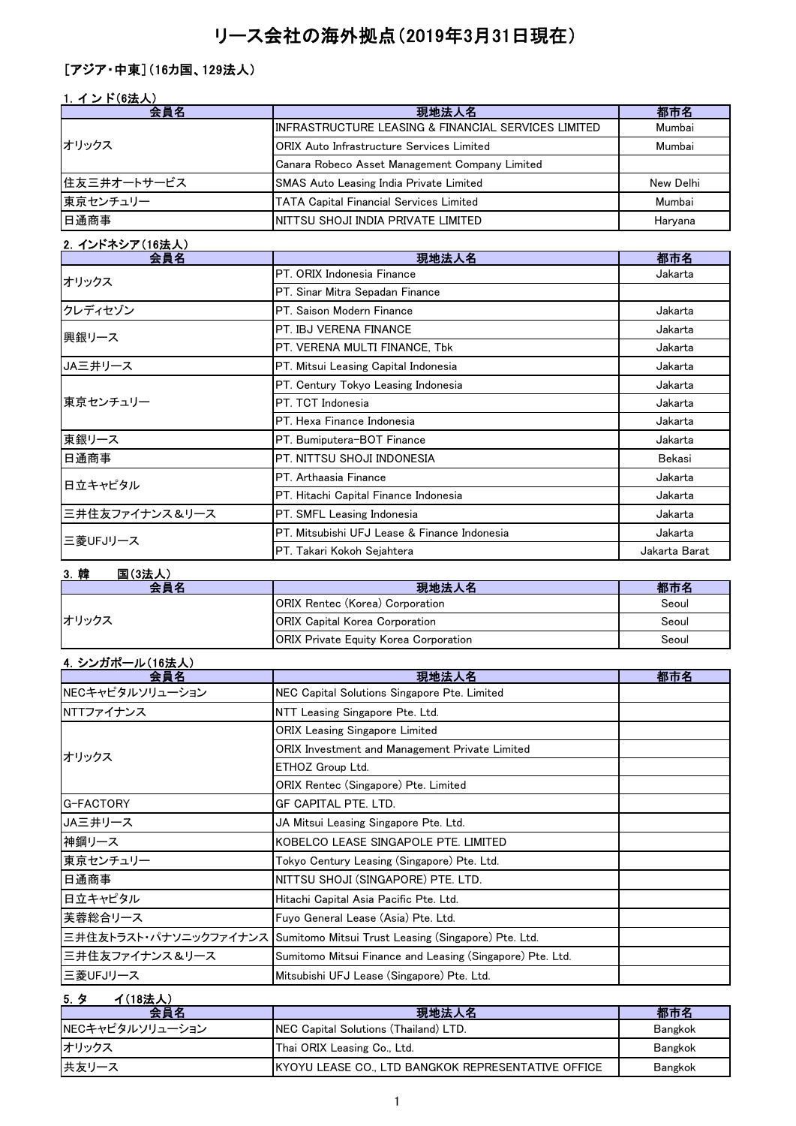# リース会社の海外拠点(2019年3月31日現在)

# [アジア・中東](16カ国、129法人)

### 1. インド(6法人)

| 会員名         | 現地法人名                                                | 都市名       |
|-------------|------------------------------------------------------|-----------|
| オリックス       | IINFRASTRUCTURE LEASING & FINANCIAL SERVICES LIMITED | Mumbai    |
|             | <b>ORIX Auto Infrastructure Services Limited</b>     | Mumbai    |
|             | Canara Robeco Asset Management Company Limited       |           |
| 住友三井オートサービス | <b>SMAS Auto Leasing India Private Limited</b>       | New Delhi |
| 東京センチュリー    | <b>TATA Capital Financial Services Limited</b>       | Mumbai    |
| 日通商事        | INITTSU SHOJI INDIA PRIVATE LIMITED                  | Harvana   |

#### 2.インドネシア(16法人)

| 会員名            | 現地法人名                                        | 都市名           |
|----------------|----------------------------------------------|---------------|
| オリックス          | PT. ORIX Indonesia Finance                   | Jakarta       |
|                | PT. Sinar Mitra Sepadan Finance              |               |
| クレディセゾン        | PT. Saison Modern Finance                    | Jakarta       |
| 興銀リース          | PT. IBJ VERENA FINANCE                       | Jakarta       |
|                | PT. VERENA MULTI FINANCE, Tbk                | Jakarta       |
| JA三井リース        | PT. Mitsui Leasing Capital Indonesia         | Jakarta       |
|                | PT. Century Tokyo Leasing Indonesia          | Jakarta       |
| 東京センチュリー       | PT. TCT Indonesia                            | Jakarta       |
|                | PT. Hexa Finance Indonesia                   | Jakarta       |
| 東銀リース          | PT. Bumiputera-BOT Finance                   | Jakarta       |
| 日通商事           | PT. NITTSU SHOJI INDONESIA                   | Bekasi        |
| 日立キャピタル        | PT. Arthaasia Finance                        | Jakarta       |
|                | PT. Hitachi Capital Finance Indonesia        | Jakarta       |
| 三井住友ファイナンス&リース | PT. SMFL Leasing Indonesia                   | Jakarta       |
| 三菱UFJリース       | PT. Mitsubishi UFJ Lease & Finance Indonesia | Jakarta       |
|                | PT. Takari Kokoh Sejahtera                   | Jakarta Barat |

### 3.韓 国(3法人)

| 스듬꼬          | 現地法人名                                        |       |
|--------------|----------------------------------------------|-------|
| <b>オリックス</b> | <b>ORIX Rentec (Korea) Corporation</b>       | Seoul |
|              | <b>ORIX Capital Korea Corporation</b>        | Seoul |
|              | <b>ORIX Private Equity Korea Corporation</b> | Seoul |

| 4. シンガポール(16法人)<br>会員名 | 現地法人名                                                                     | 都市名 |
|------------------------|---------------------------------------------------------------------------|-----|
| NECキャピタルソリューション        | NEC Capital Solutions Singapore Pte. Limited                              |     |
| NTTファイナンス              | NTT Leasing Singapore Pte. Ltd.                                           |     |
|                        | <b>ORIX Leasing Singapore Limited</b>                                     |     |
| オリックス                  | ORIX Investment and Management Private Limited                            |     |
|                        | ETHOZ Group Ltd.                                                          |     |
|                        | ORIX Rentec (Singapore) Pte. Limited                                      |     |
| G-FACTORY              | GF CAPITAL PTE. LTD.                                                      |     |
| JA三井リース                | JA Mitsui Leasing Singapore Pte. Ltd.                                     |     |
| 神鋼リース                  | KOBELCO LEASE SINGAPOLE PTE. LIMITED                                      |     |
| 東京センチュリー               | Tokyo Century Leasing (Singapore) Pte. Ltd.                               |     |
| 日通商事                   | NITTSU SHOJI (SINGAPORE) PTE. LTD.                                        |     |
| 日立キャピタル                | Hitachi Capital Asia Pacific Pte. Ltd.                                    |     |
| 芙蓉総合リース                | Fuyo General Lease (Asia) Pte. Ltd.                                       |     |
|                        | 三井住友トラスト・パナソニックファイナンス Sumitomo Mitsui Trust Leasing (Singapore) Pte. Ltd. |     |
| 三井住友ファイナンス&リース         | Sumitomo Mitsui Finance and Leasing (Singapore) Pte. Ltd.                 |     |
| 三菱UFJリース               | Mitsubishi UFJ Lease (Singapore) Pte. Ltd.                                |     |

## 5.タ イ(18法人)

| 会員名             | 現地法人名                                                      | 都市名            |
|-----------------|------------------------------------------------------------|----------------|
| NECキャピタルソリューション | <b>INEC Capital Solutions (Thailand) LTD.</b>              | Bangkok        |
| オリックス           | Thai ORIX Leasing Co., Ltd.                                | Bangkok        |
| 共友リース           | <b>IKYOYU LEASE CO., LTD BANGKOK REPRESENTATIVE OFFICE</b> | <b>Bangkok</b> |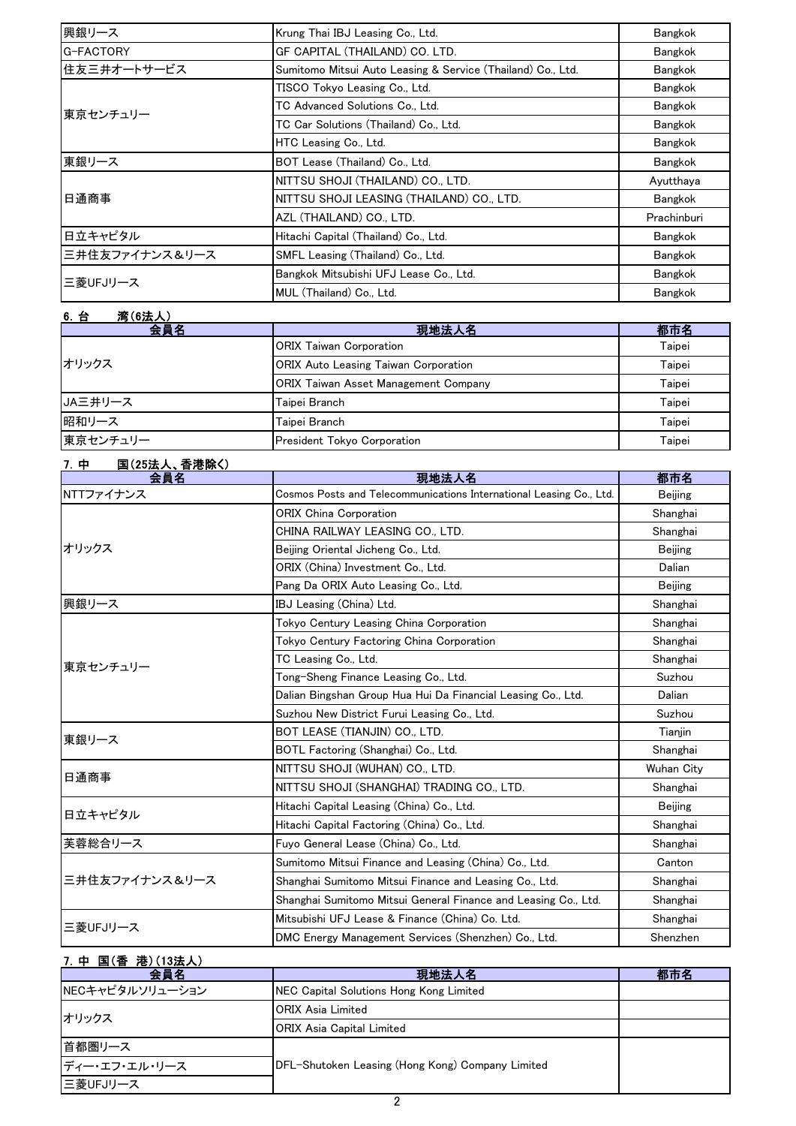| 興銀リース          | Krung Thai IBJ Leasing Co., Ltd.                            | Bangkok        |
|----------------|-------------------------------------------------------------|----------------|
| G-FACTORY      | GF CAPITAL (THAILAND) CO. LTD.                              | Bangkok        |
| 住友三井オートサービス    | Sumitomo Mitsui Auto Leasing & Service (Thailand) Co., Ltd. | <b>Bangkok</b> |
|                | TISCO Tokyo Leasing Co., Ltd.                               | <b>Bangkok</b> |
| 東京センチュリー       | TC Advanced Solutions Co., Ltd.                             | <b>Bangkok</b> |
|                | TC Car Solutions (Thailand) Co., Ltd.                       | Bangkok        |
|                | HTC Leasing Co., Ltd.                                       | <b>Bangkok</b> |
| 東銀リース          | BOT Lease (Thailand) Co., Ltd.                              | Bangkok        |
|                | NITTSU SHOJI (THAILAND) CO., LTD.                           | Ayutthaya      |
| 日通商事           | INITTSU SHOJI LEASING (THAILAND) CO., LTD.                  | Bangkok        |
|                | AZL (THAILAND) CO., LTD.                                    | Prachinburi    |
| 日立キャピタル        | Hitachi Capital (Thailand) Co., Ltd.                        | <b>Bangkok</b> |
| 三井住友ファイナンス&リース | SMFL Leasing (Thailand) Co., Ltd.                           | Bangkok        |
| 三菱UFJリース       | Bangkok Mitsubishi UFJ Lease Co., Ltd.                      | Bangkok        |
|                | MUL (Thailand) Co., Ltd.                                    | Bangkok        |

| 6. 台<br>湾(6法人) |                                             |        |
|----------------|---------------------------------------------|--------|
| 会員名            | 現地法人名                                       | 都市名    |
| オリックス          | <b>ORIX Taiwan Corporation</b>              | Taipei |
|                | <b>ORIX Auto Leasing Taiwan Corporation</b> | Taipei |
|                | <b>ORIX Taiwan Asset Management Company</b> | Taipei |
| JA三井リース        | Taipei Branch                               | Taipei |
| 昭和リース          | Taipei Branch                               | Taipei |
| 東京センチュリー       | President Tokyo Corporation                 | Taipei |

| <u>国(25法人、香港除く)</u><br>7. 中<br>会員名 | 現地法人名                                                               | 都市名            |
|------------------------------------|---------------------------------------------------------------------|----------------|
|                                    |                                                                     |                |
| NTTファイナンス                          | Cosmos Posts and Telecommunications International Leasing Co., Ltd. | Beijing        |
|                                    | <b>ORIX China Corporation</b>                                       | Shanghai       |
|                                    | CHINA RAILWAY LEASING CO., LTD.                                     | Shanghai       |
| オリックス                              | Beijing Oriental Jicheng Co., Ltd.                                  | <b>Beijing</b> |
|                                    | ORIX (China) Investment Co., Ltd.                                   | Dalian         |
|                                    | Pang Da ORIX Auto Leasing Co., Ltd.                                 | <b>Beijing</b> |
| 興銀リース                              | IBJ Leasing (China) Ltd.                                            | Shanghai       |
|                                    | Tokyo Century Leasing China Corporation                             | Shanghai       |
|                                    | Tokyo Century Factoring China Corporation                           | Shanghai       |
| 東京センチュリー                           | TC Leasing Co., Ltd.                                                | Shanghai       |
|                                    | Tong-Sheng Finance Leasing Co., Ltd.                                | Suzhou         |
|                                    | Dalian Bingshan Group Hua Hui Da Financial Leasing Co., Ltd.        | Dalian         |
|                                    | Suzhou New District Furui Leasing Co., Ltd.                         | Suzhou         |
| 東銀リース                              | BOT LEASE (TIANJIN) CO., LTD.                                       | Tianjin        |
|                                    | BOTL Factoring (Shanghai) Co., Ltd.                                 | Shanghai       |
|                                    | NITTSU SHOJI (WUHAN) CO., LTD.                                      | Wuhan City     |
| 日通商事                               | NITTSU SHOJI (SHANGHAI) TRADING CO., LTD.                           | Shanghai       |
| 日立キャピタル                            | Hitachi Capital Leasing (China) Co., Ltd.                           | Beijing        |
|                                    | Hitachi Capital Factoring (China) Co., Ltd.                         | Shanghai       |
| 芙蓉総合リース                            | Fuyo General Lease (China) Co., Ltd.                                | Shanghai       |
| 三井住友ファイナンス&リース                     | Sumitomo Mitsui Finance and Leasing (China) Co., Ltd.               | Canton         |
|                                    | Shanghai Sumitomo Mitsui Finance and Leasing Co., Ltd.              | Shanghai       |
|                                    | Shanghai Sumitomo Mitsui General Finance and Leasing Co., Ltd.      | Shanghai       |
|                                    | Mitsubishi UFJ Lease & Finance (China) Co. Ltd.                     | Shanghai       |
| 三菱UFJリース                           | DMC Energy Management Services (Shenzhen) Co., Ltd.                 | Shenzhen       |

| 7. 中 国(香 港)(13法人) |                                                  |     |
|-------------------|--------------------------------------------------|-----|
| 会員名               | 現地法人名                                            | 都市名 |
| NECキャピタルソリューション   | NEC Capital Solutions Hong Kong Limited          |     |
| オリックス             | <b>ORIX Asia Limited</b>                         |     |
|                   | <b>ORIX Asia Capital Limited</b>                 |     |
| 首都圏リース            |                                                  |     |
| ディー・エフ・エル・リース     | DFL-Shutoken Leasing (Hong Kong) Company Limited |     |
| 三菱UFJリース          |                                                  |     |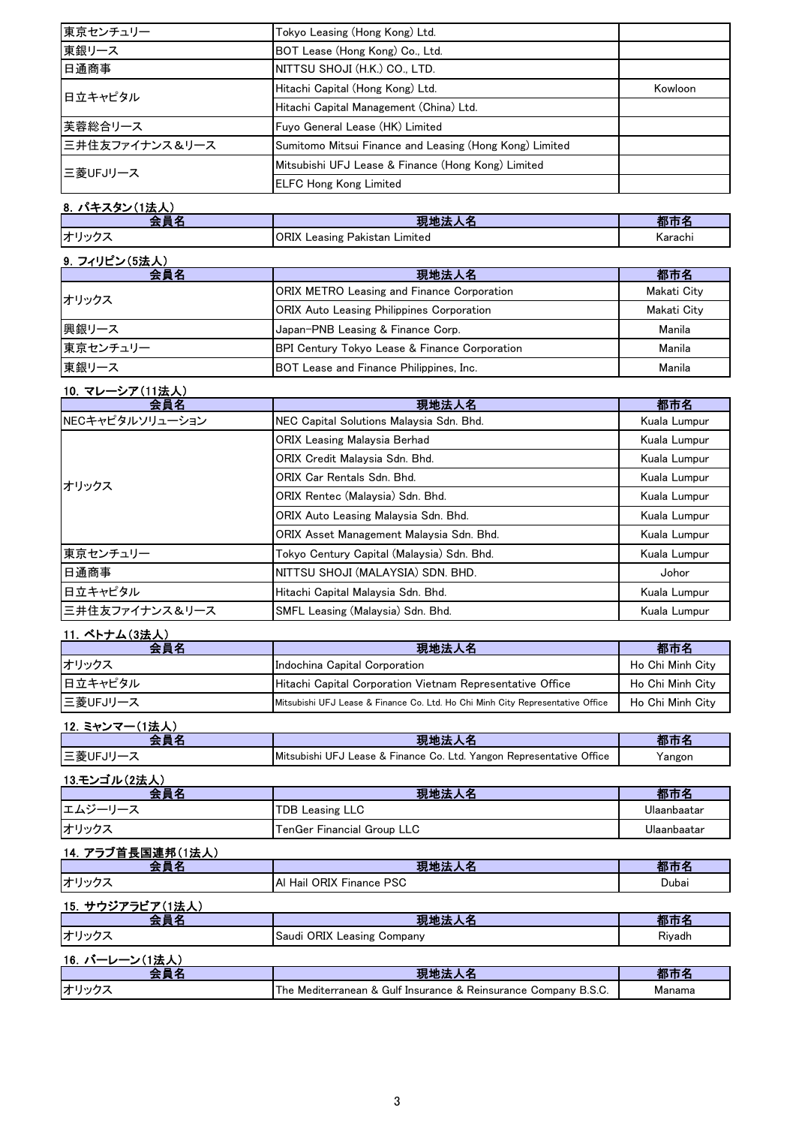| 東京センチュリー       | Tokyo Leasing (Hong Kong) Ltd.                          |         |
|----------------|---------------------------------------------------------|---------|
| 東銀リース          | BOT Lease (Hong Kong) Co., Ltd.                         |         |
| 日通商事           | NITTSU SHOJI (H.K.) CO., LTD.                           |         |
| 日立キャピタル        | Hitachi Capital (Hong Kong) Ltd.                        | Kowloon |
|                | Hitachi Capital Management (China) Ltd.                 |         |
| 芙蓉総合リース        | Fuyo General Lease (HK) Limited                         |         |
| 三井住友ファイナンス&リース | Sumitomo Mitsui Finance and Leasing (Hong Kong) Limited |         |
| 三菱UFJリース       | Mitsubishi UFJ Lease & Finance (Hong Kong) Limited      |         |
|                | <b>ELFC Hong Kong Limited</b>                           |         |

#### 8. パキスタン(1法人) 会員名 現地法人名 都市名 オリックス ORIX Leasing Pakistan Limited Karachi

| 9. フィリピン(5法人) |                                                   |             |
|---------------|---------------------------------------------------|-------------|
| 会員名           | 現地法人名                                             | 都市名         |
| オリックス         | <b>ORIX METRO Leasing and Finance Corporation</b> | Makati City |
|               | <b>ORIX Auto Leasing Philippines Corporation</b>  | Makati City |
| 興銀リース         | Japan-PNB Leasing & Finance Corp.                 | Manila      |
| 東京センチュリー      | BPI Century Tokyo Lease & Finance Corporation     | Manila      |
| 東銀リース         | BOT Lease and Finance Philippines, Inc.           | Manila      |

#### 10.マレーシア(11法人)

| 会員名             | 現地法人名                                      | 都市名          |
|-----------------|--------------------------------------------|--------------|
| NECキャピタルソリューション | NEC Capital Solutions Malaysia Sdn. Bhd.   | Kuala Lumpur |
|                 | <b>ORIX Leasing Malaysia Berhad</b>        | Kuala Lumpur |
|                 | ORIX Credit Malaysia Sdn. Bhd.             | Kuala Lumpur |
| オリックス           | <b>ORIX Car Rentals Sdn. Bhd.</b>          | Kuala Lumpur |
|                 | ORIX Rentec (Malaysia) Sdn. Bhd.           | Kuala Lumpur |
|                 | ORIX Auto Leasing Malaysia Sdn. Bhd.       | Kuala Lumpur |
|                 | ORIX Asset Management Malaysia Sdn. Bhd.   | Kuala Lumpur |
| 東京センチュリー        | Tokyo Century Capital (Malaysia) Sdn. Bhd. | Kuala Lumpur |
| 日通商事            | NITTSU SHOJI (MALAYSIA) SDN. BHD.          | Johor        |
| 日立キャピタル         | Hitachi Capital Malaysia Sdn. Bhd.         | Kuala Lumpur |
| 三井住友ファイナンス&リース  | SMFL Leasing (Malaysia) Sdn. Bhd.          | Kuala Lumpur |

#### 11. ベトナム(3法人)

| 会員名      | 現地法人名                                                                          | 都市名              |
|----------|--------------------------------------------------------------------------------|------------------|
| オリックス    | Indochina Capital Corporation                                                  | Ho Chi Minh City |
| 日立キャピタル  | Hitachi Capital Corporation Vietnam Representative Office                      | Ho Chi Minh City |
| 三菱UFJリース | Mitsubishi UFJ Lease & Finance Co. Ltd. Ho Chi Minh City Representative Office | Ho Chi Minh City |

| 12. ミャンマー(1法人) |                                                                      |        |
|----------------|----------------------------------------------------------------------|--------|
| 会昌名            | 現地法人名                                                                | 都市名    |
| 三菱UFJリース       | Mitsubishi UFJ Lease & Finance Co. Ltd. Yangon Representative Office | Yangon |

| 13.モンゴル(2法人) |                            |             |
|--------------|----------------------------|-------------|
| 会員名          | 現地法人名                      | 都市名         |
| エムジーリース      | <b>TDB Leasing LLC</b>     | Ulaanbaatar |
| オリックス        | TenGer Financial Group LLC | Ulaanbaatar |

| 14. アラブ首長国連邦(1法人) |                            |        |
|-------------------|----------------------------|--------|
| 会員名               | 現地法人名                      | 都市名    |
| オリックス             | IAI Hail ORIX Finance PSC  | Dubai  |
| 15. サウジアラビア(1法人)  |                            |        |
| 会員名               | 現地法人名                      | 都市名    |
| オリックス             | Saudi ORIX Leasing Company | Rivadh |
| 16. バーレーン(1法人)    |                            |        |

| . <i>.</i> |                                                                                                                        |         |
|------------|------------------------------------------------------------------------------------------------------------------------|---------|
|            | .<br>Gulf<br>Medri<br>l he<br>terranean<br><b>Insurance</b><br>Reinsurance<br>' ompanyن<br>.B.S.U.<br>$\sim$<br>$\sim$ | Vlanama |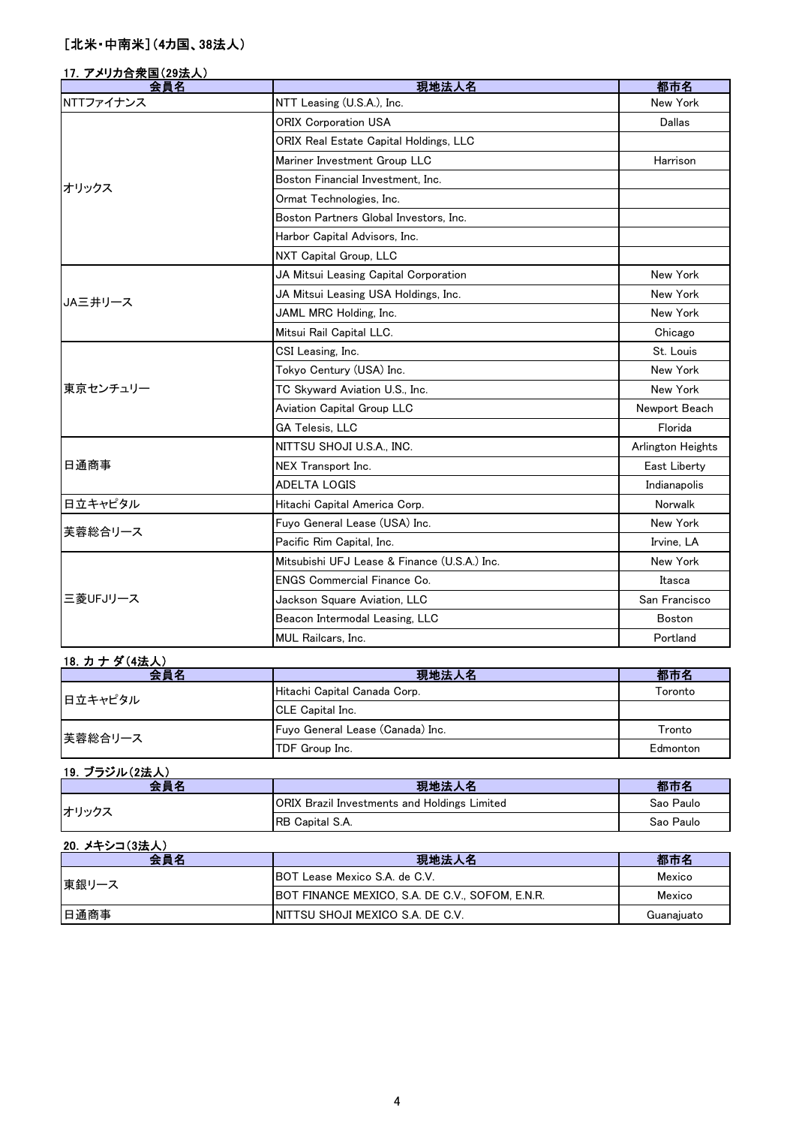# [北米・中南米](4カ国、38法人)

### 17.アメリカ合衆国(29法人)

| 会員名       | 現地法人名                                        | 都市名               |
|-----------|----------------------------------------------|-------------------|
| NTTファイナンス | NTT Leasing (U.S.A.), Inc.                   | New York          |
|           | <b>ORIX Corporation USA</b>                  | Dallas            |
|           | ORIX Real Estate Capital Holdings, LLC       |                   |
|           | Mariner Investment Group LLC                 | Harrison          |
| オリックス     | Boston Financial Investment. Inc.            |                   |
|           | Ormat Technologies, Inc.                     |                   |
|           | Boston Partners Global Investors, Inc.       |                   |
|           | Harbor Capital Advisors, Inc.                |                   |
|           | NXT Capital Group, LLC                       |                   |
|           | JA Mitsui Leasing Capital Corporation        | New York          |
| JA三井リース   | JA Mitsui Leasing USA Holdings, Inc.         | New York          |
|           | JAML MRC Holding, Inc.                       | New York          |
|           | Mitsui Rail Capital LLC.                     | Chicago           |
|           | CSI Leasing, Inc.                            | St. Louis         |
|           | Tokyo Century (USA) Inc.                     | New York          |
| 東京センチュリー  | TC Skyward Aviation U.S., Inc.               | New York          |
|           | Aviation Capital Group LLC                   | Newport Beach     |
|           | <b>GA Telesis, LLC</b>                       | Florida           |
|           | NITTSU SHOJI U.S.A., INC.                    | Arlington Heights |
| 日通商事      | NEX Transport Inc.                           | East Liberty      |
|           | <b>ADELTA LOGIS</b>                          | Indianapolis      |
| 日立キャピタル   | Hitachi Capital America Corp.                | Norwalk           |
| 芙蓉総合リース   | Fuyo General Lease (USA) Inc.                | New York          |
|           | Pacific Rim Capital, Inc.                    | Irvine. LA        |
|           | Mitsubishi UFJ Lease & Finance (U.S.A.) Inc. | New York          |
|           | ENGS Commercial Finance Co.                  | Itasca            |
| 三菱UFJリース  | Jackson Square Aviation, LLC                 | San Francisco     |
|           | Beacon Intermodal Leasing, LLC               | <b>Boston</b>     |
|           | <b>MUL Railcars, Inc.</b>                    | Portland          |

| 18. カナダ(4法人) |                                  |          |
|--------------|----------------------------------|----------|
| 会員名          | 現地法人名                            | 都市名      |
| 日立キャピタル      | Hitachi Capital Canada Corp.     | Toronto  |
|              | <b>CLE</b> Capital Inc.          |          |
| 芙蓉総合リース      | Fuyo General Lease (Canada) Inc. | Tronto   |
|              | TDF Group Inc.                   | Edmonton |

| 19. ブラジル(2法人) |                                                     |           |
|---------------|-----------------------------------------------------|-----------|
| 会員名           | 現地法人名                                               | 都市名       |
| オリックス         | <b>ORIX Brazil Investments and Holdings Limited</b> | Sao Paulo |
|               | RB Capital S.A.                                     | Sao Paulo |

| 20. メキシコ(3法人) |                                                 |            |
|---------------|-------------------------------------------------|------------|
| 会員名           | 現地法人名                                           | 都市名        |
| 東銀リース         | <b>IBOT Lease Mexico S.A. de C.V.</b>           | Mexico     |
|               | BOT FINANCE MEXICO, S.A. DE C.V., SOFOM, E.N.R. | Mexico     |
| 日通商事          | INITTSU SHOJI MEXICO S.A. DE C.V.               | Guanajuato |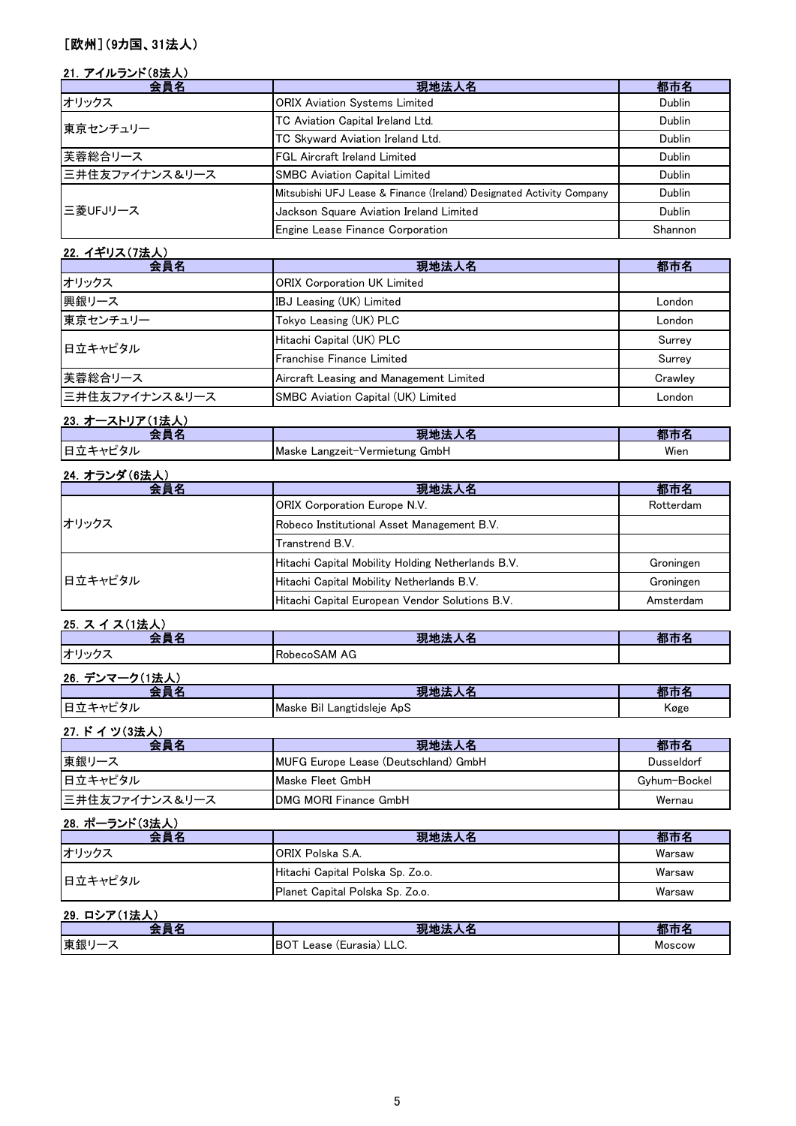# [欧州](9カ国、31法人)

### 21. アイルランド(8法人)

| 会員名            | 現地法人名                                                                | 都市名     |
|----------------|----------------------------------------------------------------------|---------|
| オリックス          | <b>ORIX Aviation Systems Limited</b>                                 | Dublin  |
| 東京センチュリー       | TC Aviation Capital Ireland Ltd.                                     | Dublin  |
|                | TC Skyward Aviation Ireland Ltd.                                     | Dublin  |
| 芙蓉総合リース        | <b>FGL Aircraft Ireland Limited</b>                                  | Dublin  |
| 三井住友ファイナンス&リース | <b>SMBC Aviation Capital Limited</b>                                 | Dublin  |
| 三菱UFJリース       | Mitsubishi UFJ Lease & Finance (Ireland) Designated Activity Company | Dublin  |
|                | Jackson Square Aviation Ireland Limited                              | Dublin  |
|                | Engine Lease Finance Corporation                                     | Shannon |

| 22. イギリス(7法人)                             |         |  |
|-------------------------------------------|---------|--|
| 現地法人名                                     | 都市名     |  |
| <b>ORIX Corporation UK Limited</b>        |         |  |
| <b>IBJ</b> Leasing (UK) Limited           | London  |  |
| Tokyo Leasing (UK) PLC                    | London  |  |
| Hitachi Capital (UK) PLC                  | Surrey  |  |
| Franchise Finance Limited                 | Surrey  |  |
| Aircraft Leasing and Management Limited   | Crawlev |  |
| <b>SMBC Aviation Capital (UK) Limited</b> | London  |  |
|                                           |         |  |

| 23. オーストリア(1法人) |                                |      |
|-----------------|--------------------------------|------|
| EM              | 現地法、                           |      |
| 日立キャピタル         | Maske Langzeit-Vermietung GmbH | Wien |

|  | 24. オランダ (6法人) |
|--|----------------|
|  |                |

| 会員名     | 現地法人名                                             | 都市名       |
|---------|---------------------------------------------------|-----------|
|         | <b>ORIX Corporation Europe N.V.</b>               | Rotterdam |
| オリックス   | Robeco Institutional Asset Management B.V.        |           |
|         | Transtrend B.V.                                   |           |
|         | Hitachi Capital Mobility Holding Netherlands B.V. | Groningen |
| 日立キャピタル | Hitachi Capital Mobility Netherlands B.V.         | Groningen |
|         | Hitachi Capital European Vendor Solutions B.V.    | Amsterdam |

# 25. ス イ ス (1法人)

|       | . .<br>w                   | .<br>. |
|-------|----------------------------|--------|
| $+11$ | AG<br><b>Robecc</b><br>;AM |        |
|       |                            |        |

| ⋍<br>26.<br>. |                            |      |
|---------------|----------------------------|------|
| _             | 相州生                        |      |
| ゚タル           | Maske Bil Langtidsleje ApS | Køge |

# 27.ドイツ(3法人)

| 会員名            | 現地法人名                                | 都市名          |
|----------------|--------------------------------------|--------------|
| 東銀リース          | MUFG Europe Lease (Deutschland) GmbH | Dusseldorf   |
| 日立キャピタル        | <b>IMaske Fleet GmbH</b>             | Gyhum-Bockel |
| 三井住友ファイナンス&リース | <b>IDMG MORI Finance GmbH</b>        | Wernau       |

#### 28. ポーランド(3法人)

| 会員名     | 現地法人名                            | 都市名    |
|---------|----------------------------------|--------|
| オリックス   | <b>IORIX Polska S.A.</b>         | Warsaw |
| 日立キャピタル | Hitachi Capital Polska Sp. Zo.o. | Warsaw |
|         | Planet Capital Polska Sp. Zo.o.  | Warsaw |

| مقدد<br>29.<br>$\overline{\phantom{a}}$<br>- |                                  |               |
|----------------------------------------------|----------------------------------|---------------|
|                                              | 38 W<br>ы.                       |               |
| 東銀<br>. .                                    | ΙBΟ<br>: (Eurasia) LLC.<br>Lease | <b>Moscow</b> |